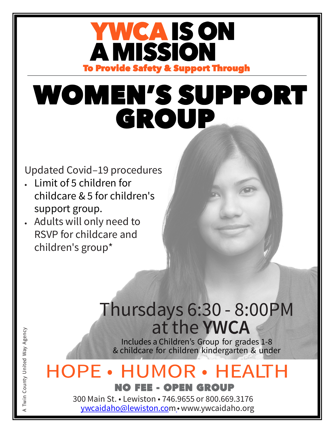### YWCA IS ON **A MISSION** To Provide Safety & Support Through

# GROUP WOMEN'S SUPPORT

#### Updated Covid–19 procedures

- Limit of 5 children for childcare & 5 for children's support group.
- Adults will only need to RSVP for childcare and children's group\*

### Thursdays 6:30 - 8:00 at the **YWCA**

Includes a Children's Group for grades 1-8 & childcare for children kindergarten & under

#### **HOPE • HUMOR • HEALTH** NO FEE - OPEN GROUP

300 Main St. • Lewiston • 746.9655 or 800.669.317[6](mailto:ywcaidaho@lewiston.com)  [ywcaidaho@lewiston.com](mailto:ywcaidaho@lewiston.com)•[www.ywcaidaho.org](http://www.ywcaidaho.org/)

A Twin County United Way Agency Twin County United Way Agency